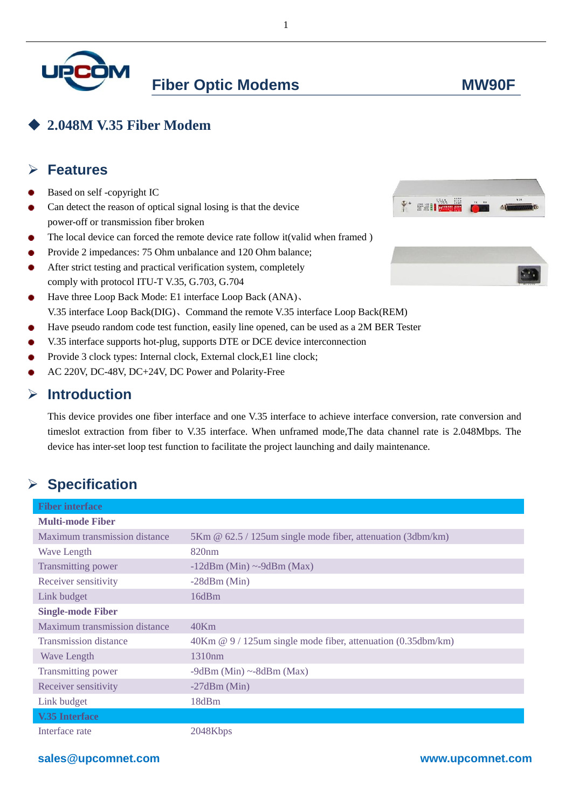

# **2.048M V.35 Fiber Modem**

#### **Features**

- Based on self -copyright IC
- Can detect the reason of optical signal losing is that the device power-off or transmission fiber broken
- The local device can forced the remote device rate follow it(valid when framed )
- Provide 2 impedances: 75 Ohm unbalance and 120 Ohm balance;
- After strict testing and practical verification system, completely comply with protocol ITU-T V.35, G.703, G.704
- Have three Loop Back Mode: E1 interface Loop Back (ANA)、 ۰ V.35 interface Loop Back(DIG)、Command the remote V.35 interface Loop Back(REM)
- Have pseudo random code test function, easily line opened, can be used as a 2M BER Tester
- V.35 interface supports hot-plug, supports DTE or DCE device interconnection
- Provide 3 clock types: Internal clock, External clock,E1 line clock;
- AC 220V, DC-48V, DC+24V, DC Power and Polarity-Free

### **Introduction**

This device provides one fiber interface and one V.35 interface to achieve interface conversion, rate conversion and timeslot extraction from fiber to V.35 interface. When unframed mode,The data channel rate is 2.048Mbps. The device has inter-set loop test function to facilitate the project launching and daily maintenance.

# **Specification**

| <b>Fiber interface</b>               |                                                              |
|--------------------------------------|--------------------------------------------------------------|
| <b>Multi-mode Fiber</b>              |                                                              |
| Maximum transmission distance        | 5Km @ 62.5 / 125um single mode fiber, attenuation (3dbm/km)  |
| <b>Wave Length</b>                   | 820nm                                                        |
| <b>Transmitting power</b>            | $-12$ dBm (Min) ~-9dBm (Max)                                 |
| Receiver sensitivity                 | $-28$ dBm (Min)                                              |
| Link budget                          | 16dBm                                                        |
| <b>Single-mode Fiber</b>             |                                                              |
| <b>Maximum transmission distance</b> | 40Km                                                         |
| <b>Transmission distance</b>         | 40Km @ 9 / 125um single mode fiber, attenuation (0.35dbm/km) |
| <b>Wave Length</b>                   | 1310 <sub>nm</sub>                                           |
| Transmitting power                   | $-9dBm$ (Min) $\sim$ -8dBm (Max)                             |
| Receiver sensitivity                 | $-27dBm$ (Min)                                               |
| Link budget                          | 18dBm                                                        |
| <b>V.35 Interface</b>                |                                                              |
| Interface rate                       | 2048Kbps                                                     |





### **sales@upcomnet.com www.upcomnet.com**